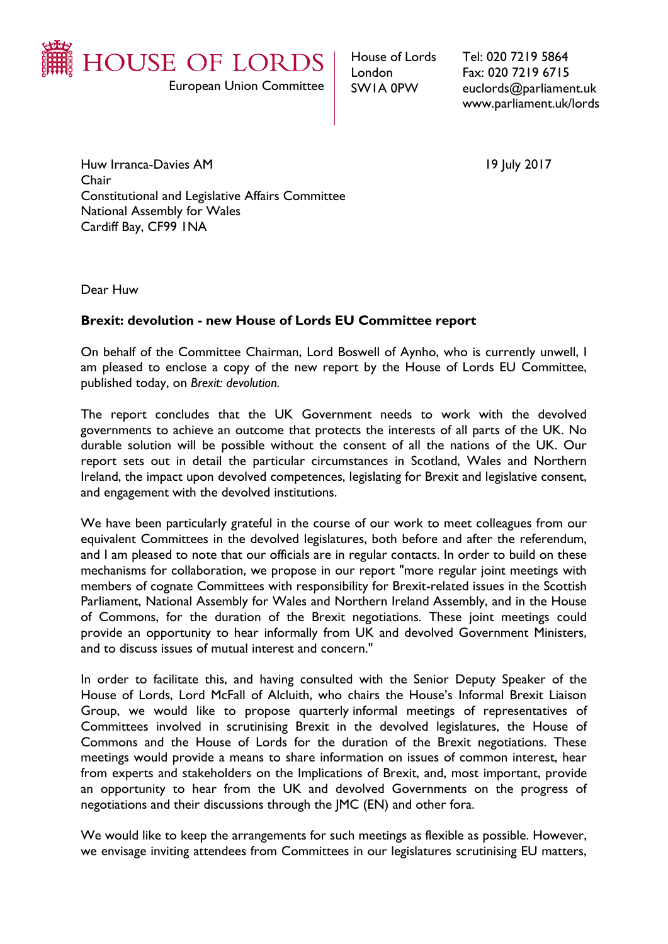

European Union Committee

House of Lords London SW1A 0PW

Tel: 020 7219 5864 Fax: 020 7219 6715 euclords@parliament.uk www.parliament.uk/lords

Huw Irranca-Davies AM 19 July 2017 Chair Constitutional and Legislative Affairs Committee National Assembly for Wales Cardiff Bay, CF99 1NA

Dear Huw

## **Brexit: devolution - new House of Lords EU Committee report**

On behalf of the Committee Chairman, Lord Boswell of Aynho, who is currently unwell, I am pleased to enclose a copy of the new report by the House of Lords EU Committee, published today, on *Brexit: devolution.*

The report concludes that the UK Government needs to work with the devolved governments to achieve an outcome that protects the interests of all parts of the UK. No durable solution will be possible without the consent of all the nations of the UK. Our report sets out in detail the particular circumstances in Scotland, Wales and Northern Ireland, the impact upon devolved competences, legislating for Brexit and legislative consent, and engagement with the devolved institutions.

We have been particularly grateful in the course of our work to meet colleagues from our equivalent Committees in the devolved legislatures, both before and after the referendum, and I am pleased to note that our officials are in regular contacts. In order to build on these mechanisms for collaboration, we propose in our report "more regular joint meetings with members of cognate Committees with responsibility for Brexit-related issues in the Scottish Parliament, National Assembly for Wales and Northern Ireland Assembly, and in the House of Commons, for the duration of the Brexit negotiations. These joint meetings could provide an opportunity to hear informally from UK and devolved Government Ministers, and to discuss issues of mutual interest and concern."

In order to facilitate this, and having consulted with the Senior Deputy Speaker of the House of Lords, Lord McFall of Alcluith, who chairs the House's Informal Brexit Liaison Group, we would like to propose quarterly informal meetings of representatives of Committees involved in scrutinising Brexit in the devolved legislatures, the House of Commons and the House of Lords for the duration of the Brexit negotiations. These meetings would provide a means to share information on issues of common interest, hear from experts and stakeholders on the Implications of Brexit, and, most important, provide an opportunity to hear from the UK and devolved Governments on the progress of negotiations and their discussions through the JMC (EN) and other fora.

We would like to keep the arrangements for such meetings as flexible as possible. However, we envisage inviting attendees from Committees in our legislatures scrutinising EU matters,